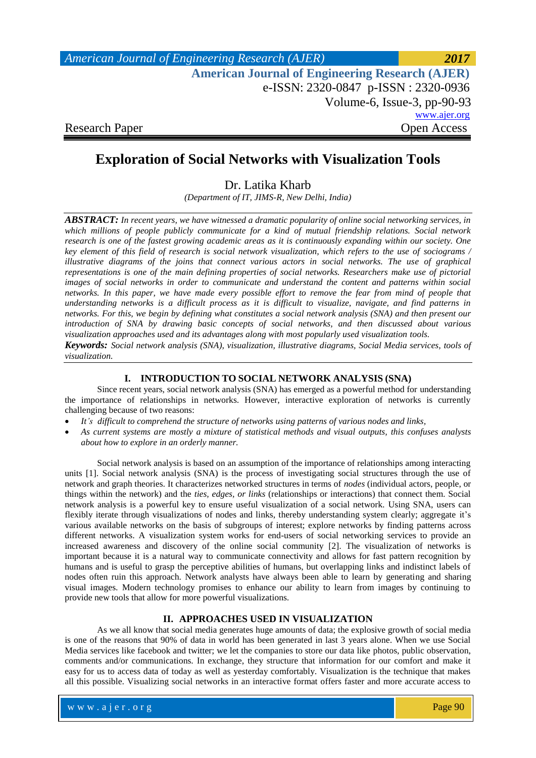| American Journal of Engineering Research (AJER)        | 2017                          |
|--------------------------------------------------------|-------------------------------|
| <b>American Journal of Engineering Research (AJER)</b> |                               |
| e-ISSN: 2320-0847 p-ISSN: 2320-0936                    |                               |
|                                                        | Volume-6, Issue-3, $pp-90-93$ |
|                                                        | www.ajer.org                  |
| <b>Research Paper</b>                                  | <b>Open Access</b>            |

# **Exploration of Social Networks with Visualization Tools**

Dr. Latika Kharb

*(Department of IT, JIMS-R, New Delhi, India)*

*ABSTRACT: In recent years, we have witnessed a dramatic popularity of online social networking services, in which millions of people publicly communicate for a kind of mutual friendship relations. Social network research is one of the fastest growing academic areas as it is continuously expanding within our society. One key element of this field of research is social network visualization, which refers to the use of sociograms / illustrative diagrams of the joins that connect various actors in social networks. The use of graphical representations is one of the main defining properties of social networks. Researchers make use of pictorial images of social networks in order to communicate and understand the content and patterns within social networks. In this paper, we have made every possible effort to remove the fear from mind of people that understanding networks is a difficult process as it is difficult to visualize, navigate, and find patterns in networks. For this, we begin by defining what constitutes a social network analysis (SNA) and then present our introduction of SNA by drawing basic concepts of social networks, and then discussed about various visualization approaches used and its advantages along with most popularly used visualization tools.* 

*Keywords: Social network analysis (SNA), visualization, illustrative diagrams, Social Media services, tools of visualization.*

### **I. INTRODUCTION TO SOCIAL NETWORK ANALYSIS (SNA)**

Since recent years, social network analysis (SNA) has emerged as a powerful method for understanding the importance of relationships in networks. However, interactive exploration of networks is currently challenging because of two reasons:

- *It's difficult to comprehend the structure of networks using patterns of various nodes and links,*
- *As current systems are mostly a mixture of statistical methods and visual outputs, this confuses analysts about how to explore in an orderly manner.*

Social network analysis is based on an assumption of the importance of relationships among interacting units [1]. Social network analysis (SNA) is the process of investigating social structures through the use of network and graph theories. It characterizes networked structures in terms of *nodes* (individual actors, people, or things within the network) and the *ties, edges, or links* (relationships or interactions) that connect them. Social network analysis is a powerful key to ensure useful visualization of a social network. Using SNA, users can flexibly iterate through visualizations of nodes and links, thereby understanding system clearly; aggregate it's various available networks on the basis of subgroups of interest; explore networks by finding patterns across different networks. A visualization system works for end-users of social networking services to provide an increased awareness and discovery of the online social community [2]. The visualization of networks is important because it is a natural way to communicate connectivity and allows for fast pattern recognition by humans and is useful to grasp the perceptive abilities of humans, but overlapping links and indistinct labels of nodes often ruin this approach. Network analysts have always been able to learn by generating and sharing visual images. Modern technology promises to enhance our ability to learn from images by continuing to provide new tools that allow for more powerful visualizations.

# **II. APPROACHES USED IN VISUALIZATION**

As we all know that social media generates huge amounts of data; the explosive growth of social media is one of the reasons that 90% of data in world has been generated in last 3 years alone. When we use Social Media services like facebook and twitter; we let the companies to store our data like photos, public observation, comments and/or communications. In exchange, they structure that information for our comfort and make it easy for us to access data of today as well as yesterday comfortably. Visualization is the technique that makes all this possible. Visualizing social networks in an interactive format offers faster and more accurate access to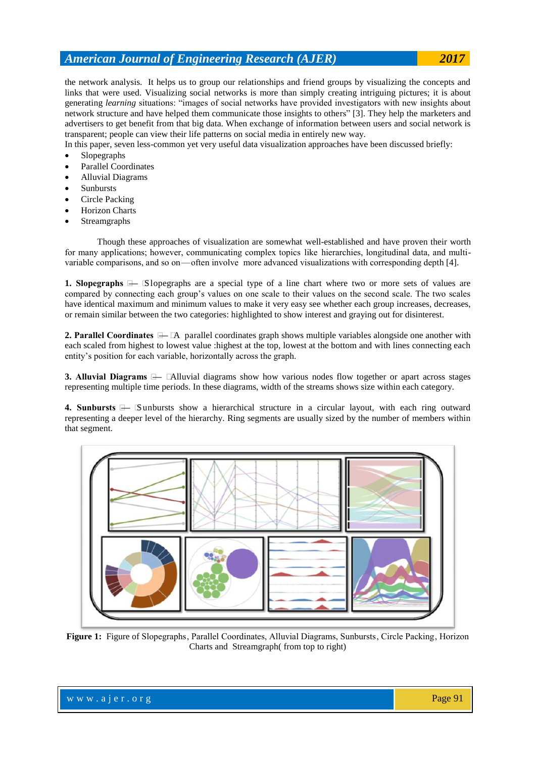# *American Journal of Engineering Research (AJER) 2017*

the network analysis. It helps us to group our relationships and friend groups by visualizing the concepts and links that were used. Visualizing social networks is more than simply creating intriguing pictures; it is about generating *learning* situations: "images of social networks have provided investigators with new insights about network structure and have helped them communicate those insights to others" [3]. They help the marketers and advertisers to get benefit from that big data. When exchange of information between users and social network is transparent; people can view their life patterns on social media in entirely new way.

In this paper, seven less-common yet very useful data visualization approaches have been discussed briefly:

- Slopegraphs
- Parallel Coordinates
- Alluvial Diagrams
- Sunbursts
- Circle Packing
- Horizon Charts
- Streamgraphs

Though these approaches of visualization are somewhat well-established and have proven their worth for many applications; however, communicating complex topics  like  hierarchies, longitudinal data, and multivariable comparisons, and so on—often involve more advanced visualizations with corresponding depth [4].

**1. Slopegraphs  —**Slopegraphs are a special type of a line chart where two or more sets of values are compared by connecting each group's values on one scale to their values on the second scale. The two scales have identical maximum and minimum values to make it very easy see whether each group increases, decreases, or remain similar between the two categories: highlighted to show interest and graying out for disinterest.

**2. Parallel Coordinates  —**A parallel coordinates graph shows multiple variables alongside one another with each scaled from highest to lowest value :highest at the top, lowest at the bottom and with lines connecting each entity's position for each variable, horizontally across the graph.

**3. Alluvial Diagrams**  $\Box$   $\Box$ Alluvial diagrams show how various nodes flow together or apart across stages representing multiple time periods. In these diagrams, width of the streams shows size within each category.

**4. Sunbursts  —**Sunbursts show a hierarchical structure in a circular layout, with each ring outward representing a deeper level of the hierarchy. Ring segments are usually sized by the number of members within that segment.



**Figure 1:** Figure of Slopegraphs , Parallel Coordinates, Alluvial Diagrams, Sunbursts , Circle Packing , Horizon Charts and Streamgraph( from top to right)

w w w . a j e r . o r g Page 91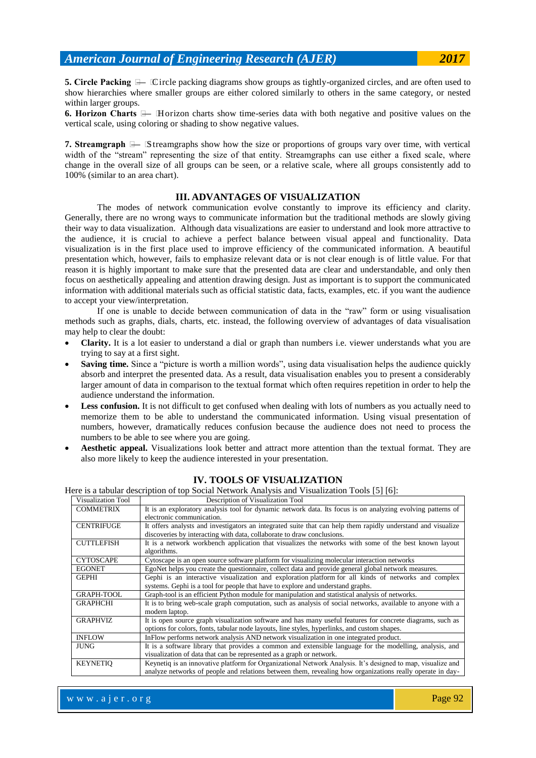**5. Circle Packing  —**Circle packing diagrams show groups as tightly-organized circles, and are often used to show hierarchies where smaller groups are either colored similarly to others in the same category, or nested within larger groups.

**6. Horizon Charts  —**Horizon charts show time-series data with both negative and positive values on the vertical scale, using coloring or shading to show negative values.

**7. Streamgraph  —**Streamgraphs show how the size or proportions of groups vary over time, with vertical width of the "stream" representing the size of that entity. Streamgraphs can use either a fixed scale, where change in the overall size of all groups can be seen, or a relative scale, where all groups consistently add to 100% (similar to an area chart).

#### **III. ADVANTAGES OF VISUALIZATION**

The modes of network communication evolve constantly to improve its efficiency and clarity. Generally, there are no wrong ways to communicate information but the traditional methods are slowly giving their way to data visualization. Although data visualizations are easier to understand and look more attractive to the audience, it is crucial to achieve a perfect balance between visual appeal and functionality. Data visualization is in the first place used to improve efficiency of the communicated information. A beautiful presentation which, however, fails to emphasize relevant data or is not clear enough is of little value. For that reason it is highly important to make sure that the presented data are clear and understandable, and only then focus on aesthetically appealing and attention drawing design. Just as important is to support the communicated information with additional materials such as official statistic data, facts, examples, etc. if you want the audience to accept your view/interpretation.

If one is unable to decide between communication of data in the "raw" form or using visualisation methods such as graphs, dials, charts, etc. instead, the following overview of advantages of data visualisation may help to clear the doubt:

- **Clarity.** It is a lot easier to understand a dial or graph than numbers i.e. viewer understands what you are trying to say at a first sight.
- **Saving time.** Since a "picture is worth a million words", using data visualisation helps the audience quickly absorb and interpret the presented data. As a result, data visualisation enables you to present a considerably larger amount of data in comparison to the textual format which often requires repetition in order to help the audience understand the information.
- Less confusion. It is not difficult to get confused when dealing with lots of numbers as you actually need to memorize them to be able to understand the communicated information. Using visual presentation of numbers, however, dramatically reduces confusion because the audience does not need to process the numbers to be able to see where you are going.
- **Aesthetic appeal.** Visualizations look better and attract more attention than the textual format. They are also more likely to keep the audience interested in your presentation.

| Visualization Tool | Description of Visualization Tool                                                                            |
|--------------------|--------------------------------------------------------------------------------------------------------------|
| <b>COMMETRIX</b>   | It is an exploratory analysis tool for dynamic network data. Its focus is on analyzing evolving patterns of  |
|                    | electronic communication.                                                                                    |
| <b>CENTRIFUGE</b>  | It offers analysts and investigators an integrated suite that can help them rapidly understand and visualize |
|                    | discoveries by interacting with data, collaborate to draw conclusions.                                       |
| <b>CUTTLEFISH</b>  | It is a network workbench application that visualizes the networks with some of the best known layout        |
|                    | algorithms.                                                                                                  |
| <b>CYTOSCAPE</b>   | Cytoscape is an open source software platform for visualizing molecular interaction networks                 |
| <b>EGONET</b>      | EgoNet helps you create the questionnaire, collect data and provide general global network measures.         |
| <b>GEPHI</b>       | Gephi is an interactive visualization and exploration platform for all kinds of networks and complex         |
|                    | systems. Gephi is a tool for people that have to explore and understand graphs.                              |
| <b>GRAPH-TOOL</b>  | Graph-tool is an efficient Python module for manipulation and statistical analysis of networks.              |
| <b>GRAPHCHI</b>    | It is to bring web-scale graph computation, such as analysis of social networks, available to anyone with a  |
|                    | modern laptop.                                                                                               |
| <b>GRAPHVIZ</b>    | It is open source graph visualization software and has many useful features for concrete diagrams, such as   |
|                    | options for colors, fonts, tabular node layouts, line styles, hyperlinks, and custom shapes.                 |
| <b>INFLOW</b>      | In Flow performs network analysis AND network visualization in one integrated product.                       |
| <b>JUNG</b>        | It is a software library that provides a common and extensible language for the modelling, analysis, and     |
|                    | visualization of data that can be represented as a graph or network.                                         |
| <b>KEYNETIO</b>    | Keynetiq is an innovative platform for Organizational Network Analysis. It's designed to map, visualize and  |
|                    | analyze networks of people and relations between them, revealing how organizations really operate in day-    |

### **IV. TOOLS OF VISUALIZATION**

Here is a tabular description of top Social Network Analysis and Visualization Tools [5] [6]: